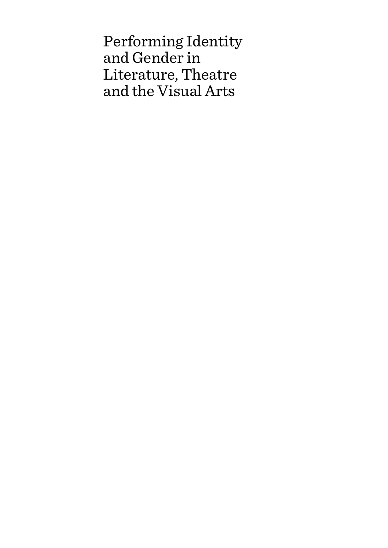Performing Identity and Gender in Literature, Theatre and the Visual Arts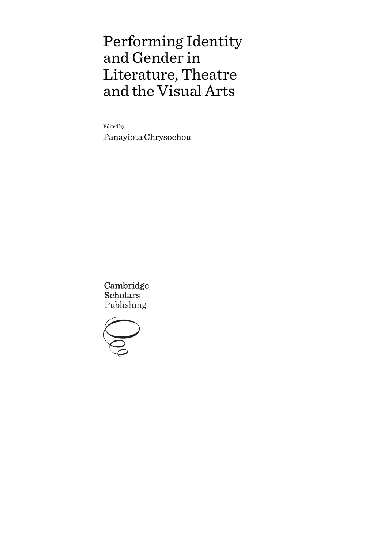# Performing Identity and Gender in Literature, Theatre and the Visual Arts

Edited by

Panayiota Chrysochou

Cambridge **Scholars** Publishing

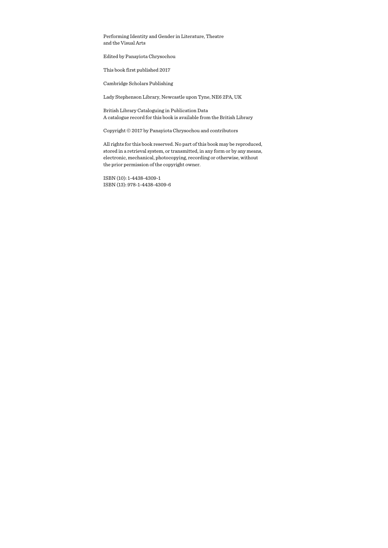Performing Identity and Gender in Literature, Theatre and the Visual Arts

Edited by Panayiota Chrysochou

This book first published 2017

Cambridge Scholars Publishing

Lady Stephenson Library, Newcastle upon Tyne, NE6 2PA, UK

British Library Cataloguing in Publication Data A catalogue record for this book is available from the British Library

Copyright © 2017 by Panayiota Chrysochou and contributors

All rights for this book reserved. No part of this book may be reproduced, stored in a retrieval system, or transmitted, in any form or by any means, electronic, mechanical, photocopying, recording or otherwise, without the prior permission of the copyright owner.

ISBN (10): 1-4438-4309-1 ISBN (13): 978-1-4438-4309-6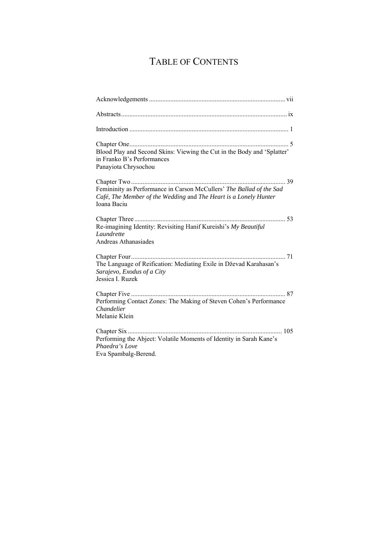## TABLE OF CONTENTS

| Blood Play and Second Skins: Viewing the Cut in the Body and 'Splatter'<br>in Franko B's Performances<br>Panayiota Chrysochou                           |
|---------------------------------------------------------------------------------------------------------------------------------------------------------|
|                                                                                                                                                         |
| Femininity as Performance in Carson McCullers' The Ballad of the Sad<br>Café, The Member of the Wedding and The Heart is a Lonely Hunter<br>Ioana Baciu |
| Re-imagining Identity: Revisiting Hanif Kureishi's My Beautiful<br>Laundrette<br>Andreas Athanasiades                                                   |
| The Language of Reification: Mediating Exile in Dževad Karahasan's<br>Sarajevo, Exodus of a City<br>Jessica I. Ruzek                                    |
| Performing Contact Zones: The Making of Steven Cohen's Performance<br>Chandelier<br>Melanie Klein                                                       |
| Performing the Abject: Volatile Moments of Identity in Sarah Kane's<br>Phaedra's Love<br>Eva Spambalg-Berend.                                           |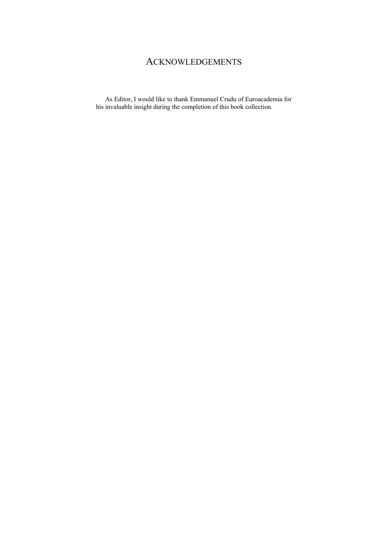## ACKNOWLEDGEMENTS

As Editor, I would like to thank Emmanuel Crudu of Euroacademia for his invaluable insight during the completion of this book collection.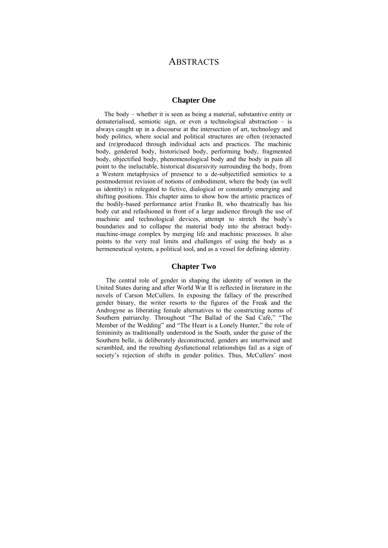## **ABSTRACTS**

#### **Chapter One**

 The body – whether it is seen as being a material, substantive entity or dematerialised, semiotic sign, or even a technological abstraction – is always caught up in a discourse at the intersection of art, technology and body politics, where social and political structures are often (re)enacted and (re)produced through individual acts and practices. The machinic body, gendered body, historicised body, performing body, fragmented body, objectified body, phenomenological body and the body in pain all point to the ineluctable, historical discursivity surrounding the body, from a Western metaphysics of presence to a de-subjectified semiotics to a postmodernist revision of notions of embodiment, where the body (as well as identity) is relegated to fictive, dialogical or constantly emerging and shifting positions. This chapter aims to show how the artistic practices of the bodily-based performance artist Franko B, who theatrically has his body cut and refashioned in front of a large audience through the use of machinic and technological devices, attempt to stretch the body's boundaries and to collapse the material body into the abstract bodymachine-image complex by merging life and machinic processes. It also points to the very real limits and challenges of using the body as a hermeneutical system, a political tool, and as a vessel for defining identity.

#### **Chapter Two**

The central role of gender in shaping the identity of women in the United States during and after World War II is reflected in literature in the novels of Carson McCullers. In exposing the fallacy of the prescribed gender binary, the writer resorts to the figures of the Freak and the Androgyne as liberating female alternatives to the constricting norms of Southern patriarchy. Throughout "The Ballad of the Sad Café," "The Member of the Wedding" and "The Heart is a Lonely Hunter," the role of femininity as traditionally understood in the South, under the guise of the Southern belle, is deliberately deconstructed, genders are intertwined and scrambled, and the resulting dysfunctional relationships fail as a sign of society's rejection of shifts in gender politics. Thus, McCullers' most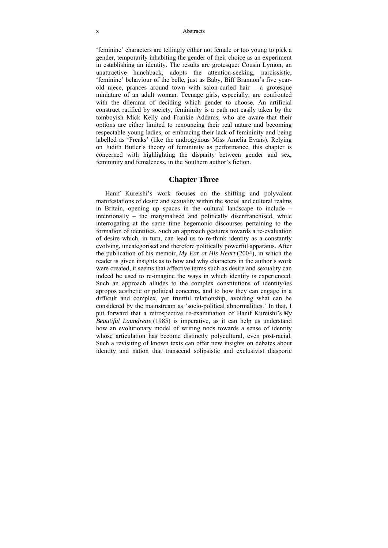'feminine' characters are tellingly either not female or too young to pick a gender, temporarily inhabiting the gender of their choice as an experiment in establishing an identity. The results are grotesque: Cousin Lymon, an unattractive hunchback, adopts the attention-seeking, narcissistic, 'feminine' behaviour of the belle, just as Baby, Biff Brannon's five yearold niece, prances around town with salon-curled hair  $-$  a grotesque miniature of an adult woman. Teenage girls, especially, are confronted with the dilemma of deciding which gender to choose. An artificial construct ratified by society, femininity is a path not easily taken by the tomboyish Mick Kelly and Frankie Addams, who are aware that their options are either limited to renouncing their real nature and becoming respectable young ladies, or embracing their lack of femininity and being labelled as 'Freaks' (like the androgynous Miss Amelia Evans). Relying on Judith Butler's theory of femininity as performance, this chapter is concerned with highlighting the disparity between gender and sex, femininity and femaleness, in the Southern author's fiction.

#### **Chapter Three**

Hanif Kureishi's work focuses on the shifting and polyvalent manifestations of desire and sexuality within the social and cultural realms in Britain, opening up spaces in the cultural landscape to include – intentionally – the marginalised and politically disenfranchised, while interrogating at the same time hegemonic discourses pertaining to the formation of identities. Such an approach gestures towards a re-evaluation of desire which, in turn, can lead us to re-think identity as a constantly evolving, uncategorised and therefore politically powerful apparatus. After the publication of his memoir, *My Ear at His Heart* (2004), in which the reader is given insights as to how and why characters in the author's work were created, it seems that affective terms such as desire and sexuality can indeed be used to re-imagine the ways in which identity is experienced. Such an approach alludes to the complex constitutions of identity/ies apropos aesthetic or political concerns, and to how they can engage in a difficult and complex, yet fruitful relationship, avoiding what can be considered by the mainstream as 'socio-political abnormalities.' In that, I put forward that a retrospective re-examination of Hanif Kureishi's *My Beautiful Laundrette* (1985) is imperative, as it can help us understand how an evolutionary model of writing nods towards a sense of identity whose articulation has become distinctly polycultural, even post-racial. Such a revisiting of known texts can offer new insights on debates about identity and nation that transcend solipsistic and exclusivist diasporic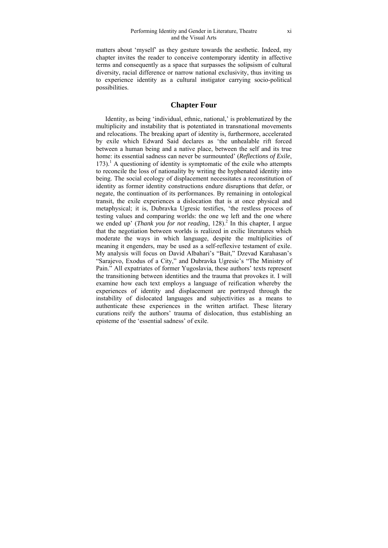matters about 'myself' as they gesture towards the aesthetic. Indeed, my chapter invites the reader to conceive contemporary identity in affective terms and consequently as a space that surpasses the solipsism of cultural diversity, racial difference or narrow national exclusivity, thus inviting us to experience identity as a cultural instigator carrying socio-political possibilities.

#### **Chapter Four**

Identity, as being 'individual, ethnic, national,' is problematized by the multiplicity and instability that is potentiated in transnational movements and relocations. The breaking apart of identity is, furthermore, accelerated by exile which Edward Said declares as 'the unhealable rift forced between a human being and a native place, between the self and its true home: its essential sadness can never be surmounted' (*Reflections of Exile*, 173).<sup>1</sup> A questioning of identity is symptomatic of the exile who attempts to reconcile the loss of nationality by writing the hyphenated identity into being. The social ecology of displacement necessitates a reconstitution of identity as former identity constructions endure disruptions that defer, or negate, the continuation of its performances. By remaining in ontological transit, the exile experiences a dislocation that is at once physical and metaphysical; it is, Dubravka Ugresic testifies, 'the restless process of testing values and comparing worlds: the one we left and the one where we ended up' (*Thank you for not reading*, 128).<sup>2</sup> In this chapter, I argue that the negotiation between worlds is realized in exilic literatures which moderate the ways in which language, despite the multiplicities of meaning it engenders, may be used as a self-reflexive testament of exile. My analysis will focus on David Albahari's "Bait," Dzevad Karahasan's "Sarajevo, Exodus of a City," and Dubravka Ugresic's "The Ministry of Pain." All expatriates of former Yugoslavia, these authors' texts represent the transitioning between identities and the trauma that provokes it. I will examine how each text employs a language of reification whereby the experiences of identity and displacement are portrayed through the instability of dislocated languages and subjectivities as a means to authenticate these experiences in the written artifact. These literary curations reify the authors' trauma of dislocation, thus establishing an episteme of the 'essential sadness' of exile.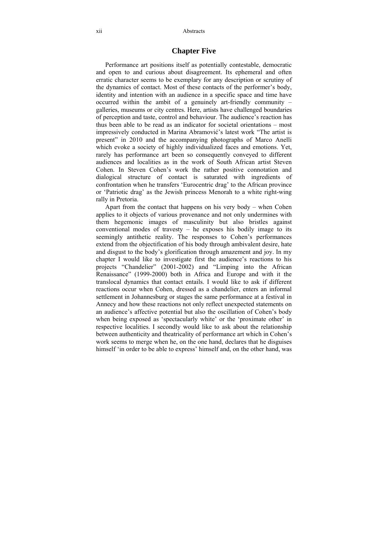#### **Chapter Five**

Performance art positions itself as potentially contestable, democratic and open to and curious about disagreement. Its ephemeral and often erratic character seems to be exemplary for any description or scrutiny of the dynamics of contact. Most of these contacts of the performer's body, identity and intention with an audience in a specific space and time have occurred within the ambit of a genuinely art-friendly community – galleries, museums or city centres. Here, artists have challenged boundaries of perception and taste, control and behaviour. The audience's reaction has thus been able to be read as an indicator for societal orientations – most impressively conducted in Marina Abramović's latest work "The artist is present" in 2010 and the accompanying photographs of Marco Anelli which evoke a society of highly individualized faces and emotions. Yet, rarely has performance art been so consequently conveyed to different audiences and localities as in the work of South African artist Steven Cohen. In Steven Cohen's work the rather positive connotation and dialogical structure of contact is saturated with ingredients of confrontation when he transfers 'Eurocentric drag' to the African province or 'Patriotic drag' as the Jewish princess Menorah to a white right-wing rally in Pretoria.

Apart from the contact that happens on his very body – when Cohen applies to it objects of various provenance and not only undermines with them hegemonic images of masculinity but also bristles against conventional modes of travesty – he exposes his bodily image to its seemingly antithetic reality. The responses to Cohen's performances extend from the objectification of his body through ambivalent desire, hate and disgust to the body's glorification through amazement and joy. In my chapter I would like to investigate first the audience's reactions to his projects "Chandelier" (2001-2002) and "Limping into the African Renaissance" (1999-2000) both in Africa and Europe and with it the translocal dynamics that contact entails. I would like to ask if different reactions occur when Cohen, dressed as a chandelier, enters an informal settlement in Johannesburg or stages the same performance at a festival in Annecy and how these reactions not only reflect unexpected statements on an audience's affective potential but also the oscillation of Cohen's body when being exposed as 'spectacularly white' or the 'proximate other' in respective localities. I secondly would like to ask about the relationship between authenticity and theatricality of performance art which in Cohen's work seems to merge when he, on the one hand, declares that he disguises himself 'in order to be able to express' himself and, on the other hand, was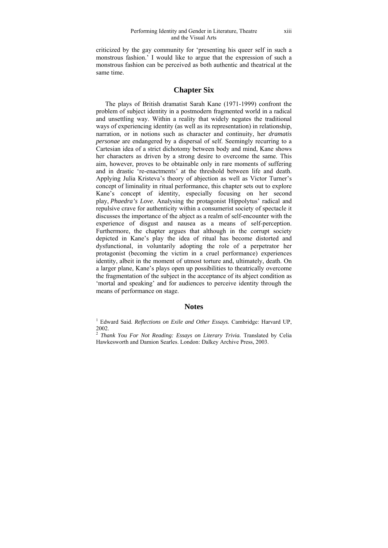criticized by the gay community for 'presenting his queer self in such a monstrous fashion.' I would like to argue that the expression of such a monstrous fashion can be perceived as both authentic and theatrical at the same time.

#### **Chapter Six**

The plays of British dramatist Sarah Kane (1971-1999) confront the problem of subject identity in a postmodern fragmented world in a radical and unsettling way. Within a reality that widely negates the traditional ways of experiencing identity (as well as its representation) in relationship, narration, or in notions such as character and continuity, her *dramatis personae* are endangered by a dispersal of self. Seemingly recurring to a Cartesian idea of a strict dichotomy between body and mind, Kane shows her characters as driven by a strong desire to overcome the same. This aim, however, proves to be obtainable only in rare moments of suffering and in drastic 're-enactments' at the threshold between life and death. Applying Julia Kristeva's theory of abjection as well as Victor Turner's concept of liminality in ritual performance, this chapter sets out to explore Kane's concept of identity, especially focusing on her second play, *Phaedra's Love*. Analysing the protagonist Hippolytus' radical and repulsive crave for authenticity within a consumerist society of spectacle it discusses the importance of the abject as a realm of self-encounter with the experience of disgust and nausea as a means of self-perception. Furthermore, the chapter argues that although in the corrupt society depicted in Kane's play the idea of ritual has become distorted and dysfunctional, in voluntarily adopting the role of a perpetrator her protagonist (becoming the victim in a cruel performance) experiences identity, albeit in the moment of utmost torture and, ultimately, death. On a larger plane, Kane's plays open up possibilities to theatrically overcome the fragmentation of the subject in the acceptance of its abject condition as 'mortal and speaking' and for audiences to perceive identity through the means of performance on stage.

#### **Notes**

<sup>&</sup>lt;sup>1</sup> Edward Said. *Reflections on Exile and Other Essays*. Cambridge: Harvard UP, 2002.

<sup>&</sup>lt;sup>2</sup> *Thank You For Not Reading: Essays on Literary Trivia*. Translated by Celia Hawkesworth and Damion Searles. London: Dalkey Archive Press, 2003.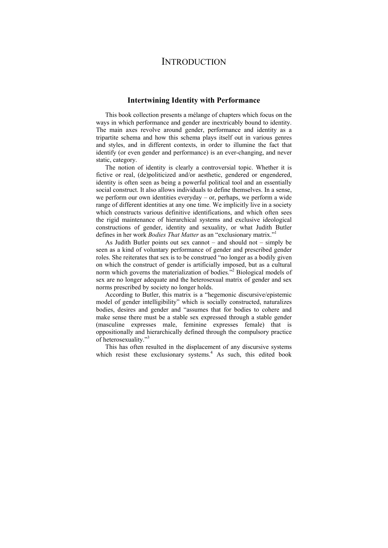## **INTRODUCTION**

#### **Intertwining Identity with Performance**

This book collection presents a mélange of chapters which focus on the ways in which performance and gender are inextricably bound to identity. The main axes revolve around gender, performance and identity as a tripartite schema and how this schema plays itself out in various genres and styles, and in different contexts, in order to illumine the fact that identify (or even gender and performance) is an ever-changing, and never static, category.

The notion of identity is clearly a controversial topic. Whether it is fictive or real, (de)politicized and/or aesthetic, gendered or engendered, identity is often seen as being a powerful political tool and an essentially social construct. It also allows individuals to define themselves. In a sense, we perform our own identities everyday – or, perhaps, we perform a wide range of different identities at any one time. We implicitly live in a society which constructs various definitive identifications, and which often sees the rigid maintenance of hierarchical systems and exclusive ideological constructions of gender, identity and sexuality, or what Judith Butler defines in her work *Bodies That Matter* as an "exclusionary matrix."1

As Judith Butler points out sex cannot – and should not – simply be seen as a kind of voluntary performance of gender and prescribed gender roles. She reiterates that sex is to be construed "no longer as a bodily given on which the construct of gender is artificially imposed, but as a cultural norm which governs the materialization of bodies.<sup>7,2</sup> Biological models of sex are no longer adequate and the heterosexual matrix of gender and sex norms prescribed by society no longer holds.

According to Butler, this matrix is a "hegemonic discursive/epistemic model of gender intelligibility" which is socially constructed, naturalizes bodies, desires and gender and "assumes that for bodies to cohere and make sense there must be a stable sex expressed through a stable gender (masculine expresses male, feminine expresses female) that is oppositionally and hierarchically defined through the compulsory practice of heterosexuality."<sup>3</sup>

This has often resulted in the displacement of any discursive systems which resist these exclusionary systems.<sup>4</sup> As such, this edited book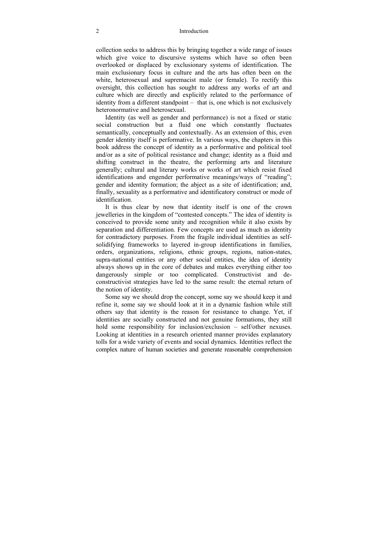#### 2 Introduction

collection seeks to address this by bringing together a wide range of issues which give voice to discursive systems which have so often been overlooked or displaced by exclusionary systems of identification. The main exclusionary focus in culture and the arts has often been on the white, heterosexual and supremacist male (or female). To rectify this oversight, this collection has sought to address any works of art and culture which are directly and explicitly related to the performance of identity from a different standpoint – that is, one which is not exclusively heteronormative and heterosexual.

Identity (as well as gender and performance) is not a fixed or static social construction but a fluid one which constantly fluctuates semantically, conceptually and contextually. As an extension of this, even gender identity itself is performative. In various ways, the chapters in this book address the concept of identity as a performative and political tool and/or as a site of political resistance and change; identity as a fluid and shifting construct in the theatre, the performing arts and literature generally; cultural and literary works or works of art which resist fixed identifications and engender performative meanings/ways of "reading"; gender and identity formation; the abject as a site of identification; and, finally, sexuality as a performative and identificatory construct or mode of identification.

It is thus clear by now that identity itself is one of the crown jewelleries in the kingdom of "contested concepts." The idea of identity is conceived to provide some unity and recognition while it also exists by separation and differentiation. Few concepts are used as much as identity for contradictory purposes. From the fragile individual identities as selfsolidifying frameworks to layered in-group identifications in families, orders, organizations, religions, ethnic groups, regions, nation-states, supra-national entities or any other social entities, the idea of identity always shows up in the core of debates and makes everything either too dangerously simple or too complicated. Constructivist and deconstructivist strategies have led to the same result: the eternal return of the notion of identity.

Some say we should drop the concept, some say we should keep it and refine it, some say we should look at it in a dynamic fashion while still others say that identity is the reason for resistance to change. Yet, if identities are socially constructed and not genuine formations, they still hold some responsibility for inclusion/exclusion – self/other nexuses. Looking at identities in a research oriented manner provides explanatory tolls for a wide variety of events and social dynamics. Identities reflect the complex nature of human societies and generate reasonable comprehension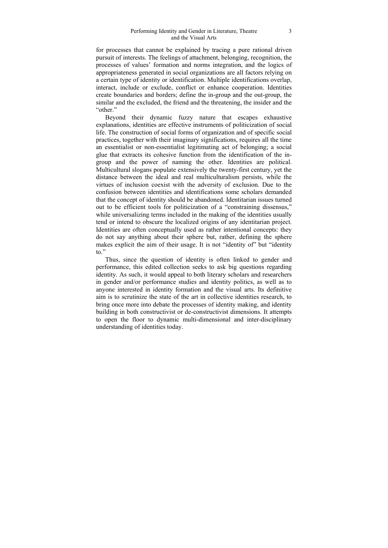for processes that cannot be explained by tracing a pure rational driven pursuit of interests. The feelings of attachment, belonging, recognition, the processes of values' formation and norms integration, and the logics of appropriateness generated in social organizations are all factors relying on a certain type of identity or identification. Multiple identifications overlap, interact, include or exclude, conflict or enhance cooperation. Identities create boundaries and borders; define the in-group and the out-group, the similar and the excluded, the friend and the threatening, the insider and the "other"

Beyond their dynamic fuzzy nature that escapes exhaustive explanations, identities are effective instruments of politicization of social life. The construction of social forms of organization and of specific social practices, together with their imaginary significations, requires all the time an essentialist or non-essentialist legitimating act of belonging; a social glue that extracts its cohesive function from the identification of the ingroup and the power of naming the other. Identities are political. Multicultural slogans populate extensively the twenty-first century, yet the distance between the ideal and real multiculturalism persists, while the virtues of inclusion coexist with the adversity of exclusion. Due to the confusion between identities and identifications some scholars demanded that the concept of identity should be abandoned. Identitarian issues turned out to be efficient tools for politicization of a "constraining dissensus," while universalizing terms included in the making of the identities usually tend or intend to obscure the localized origins of any identitarian project. Identities are often conceptually used as rather intentional concepts: they do not say anything about their sphere but, rather, defining the sphere makes explicit the aim of their usage. It is not "identity of" but "identity to."

Thus, since the question of identity is often linked to gender and performance, this edited collection seeks to ask big questions regarding identity. As such, it would appeal to both literary scholars and researchers in gender and/or performance studies and identity politics, as well as to anyone interested in identity formation and the visual arts. Its definitive aim is to scrutinize the state of the art in collective identities research, to bring once more into debate the processes of identity making, and identity building in both constructivist or de-constructivist dimensions. It attempts to open the floor to dynamic multi-dimensional and inter-disciplinary understanding of identities today.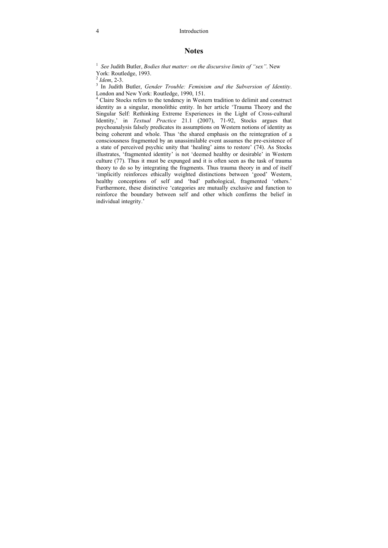#### 4 Introduction

#### **Notes**

1 *See* Judith Butler, *Bodies that matter: on the discursive limits of "sex"*. New York: Routledge, 1993.

 $^{2}$  *Idem*, 2-3.

<sup>3</sup> In Judith Butler, *Gender Trouble: Feminism and the Subversion of Identity*. London and New York: Routledge, 1990, 151.

<sup>4</sup> Claire Stocks refers to the tendency in Western tradition to delimit and construct identity as a singular, monolithic entity. In her article 'Trauma Theory and the Singular Self: Rethinking Extreme Experiences in the Light of Cross-cultural Identity,' in *Textual Practice* 21.1 (2007), 71-92, Stocks argues that psychoanalysis falsely predicates its assumptions on Western notions of identity as being coherent and whole. Thus 'the shared emphasis on the reintegration of a consciousness fragmented by an unassimilable event assumes the pre-existence of a state of perceived psychic unity that 'healing' aims to restore' (74). As Stocks illustrates, 'fragmented identity' is not 'deemed healthy or desirable' in Western culture (77). Thus it must be expunged and it is often seen as the task of trauma theory to do so by integrating the fragments. Thus trauma theory in and of itself 'implicitly reinforces ethically weighted distinctions between 'good' Western, healthy conceptions of self and 'bad' pathological, fragmented 'others.' Furthermore, these distinctive 'categories are mutually exclusive and function to reinforce the boundary between self and other which confirms the belief in individual integrity.'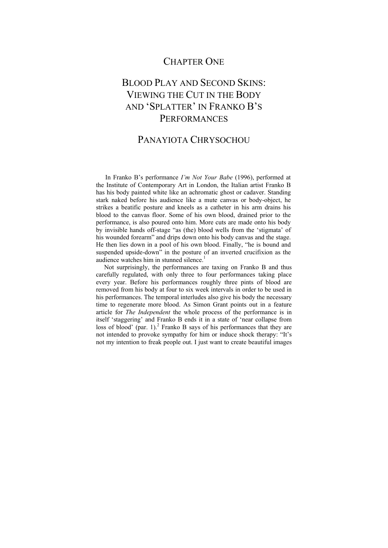## CHAPTER ONE

## BLOOD PLAY AND SECOND SKINS: VIEWING THE CUT IN THE BODY AND 'SPLATTER' IN FRANKO B'S **PERFORMANCES**

## PANAYIOTA CHRYSOCHOU

In Franko B's performance *I'm Not Your Babe* (1996), performed at the Institute of Contemporary Art in London, the Italian artist Franko B has his body painted white like an achromatic ghost or cadaver. Standing stark naked before his audience like a mute canvas or body-object, he strikes a beatific posture and kneels as a catheter in his arm drains his blood to the canvas floor. Some of his own blood, drained prior to the performance, is also poured onto him. More cuts are made onto his body by invisible hands off-stage "as (the) blood wells from the 'stigmata' of his wounded forearm" and drips down onto his body canvas and the stage. He then lies down in a pool of his own blood. Finally, "he is bound and suspended upside-down" in the posture of an inverted crucifixion as the audience watches him in stunned silence.<sup>1</sup>

 Not surprisingly, the performances are taxing on Franko B and thus carefully regulated, with only three to four performances taking place every year. Before his performances roughly three pints of blood are removed from his body at four to six week intervals in order to be used in his performances. The temporal interludes also give his body the necessary time to regenerate more blood. As Simon Grant points out in a feature article for *The Independent* the whole process of the performance is in itself 'staggering' and Franko B ends it in a state of 'near collapse from loss of blood' (par.  $1$ ).<sup>2</sup> Franko B says of his performances that they are not intended to provoke sympathy for him or induce shock therapy: "It's not my intention to freak people out. I just want to create beautiful images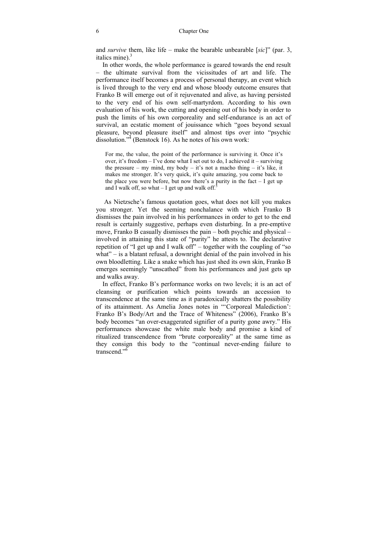and *survive* them, like life – make the bearable unbearable [*sic*]" (par. 3, italics mine). $3$ 

 In other words, the whole performance is geared towards the end result – the ultimate survival from the vicissitudes of art and life. The performance itself becomes a process of personal therapy, an event which is lived through to the very end and whose bloody outcome ensures that Franko B will emerge out of it rejuvenated and alive, as having persisted to the very end of his own self-martyrdom. According to his own evaluation of his work, the cutting and opening out of his body in order to push the limits of his own corporeality and self-endurance is an act of survival, an ecstatic moment of jouissance which "goes beyond sexual pleasure, beyond pleasure itself" and almost tips over into "psychic dissolution."<sup>4</sup> (Benstock 16). As he notes of his own work:

For me, the value, the point of the performance is surviving it. Once it's over, it's freedom – I've done what I set out to do, I achieved it – surviving the pressure – my mind, my body – it's not a macho thing – it's like, it makes me stronger. It's very quick, it's quite amazing, you come back to the place you were before, but now there's a purity in the fact  $-1$  get up and I walk off, so what  $-$  I get up and walk off.<sup>5</sup>

 As Nietzsche's famous quotation goes, what does not kill you makes you stronger. Yet the seeming nonchalance with which Franko B dismisses the pain involved in his performances in order to get to the end result is certainly suggestive, perhaps even disturbing. In a pre-emptive move, Franko B casually dismisses the pain – both psychic and physical – involved in attaining this state of "purity" he attests to. The declarative repetition of "I get up and I walk off" – together with the coupling of "so" what" – is a blatant refusal, a downright denial of the pain involved in his own bloodletting. Like a snake which has just shed its own skin, Franko B emerges seemingly "unscathed" from his performances and just gets up and walks away.

 In effect, Franko B's performance works on two levels; it is an act of cleansing or purification which points towards an accession to transcendence at the same time as it paradoxically shatters the possibility of its attainment. As Amelia Jones notes in "'Corporeal Malediction': Franko B's Body/Art and the Trace of Whiteness" (2006), Franko B's body becomes "an over-exaggerated signifier of a purity gone awry." His performances showcase the white male body and promise a kind of ritualized transcendence from "brute corporeality" at the same time as they consign this body to the "continual never-ending failure to transcend<sup>"6</sup>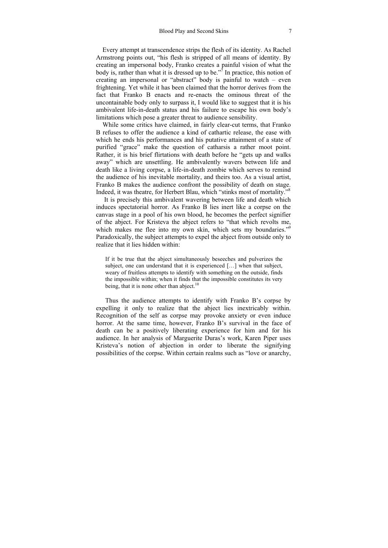Every attempt at transcendence strips the flesh of its identity. As Rachel Armstrong points out, "his flesh is stripped of all means of identity. By creating an impersonal body, Franko creates a painful vision of what the body is, rather than what it is dressed up to be."<sup>7</sup> In practice, this notion of creating an impersonal or "abstract" body is painful to watch – even frightening. Yet while it has been claimed that the horror derives from the fact that Franko B enacts and re-enacts the ominous threat of the uncontainable body only to surpass it, I would like to suggest that it is his ambivalent life-in-death status and his failure to escape his own body's limitations which pose a greater threat to audience sensibility.

 While some critics have claimed, in fairly clear-cut terms, that Franko B refuses to offer the audience a kind of cathartic release, the ease with which he ends his performances and his putative attainment of a state of purified "grace" make the question of catharsis a rather moot point. Rather, it is his brief flirtations with death before he "gets up and walks away" which are unsettling. He ambivalently wavers between life and death like a living corpse, a life-in-death zombie which serves to remind the audience of his inevitable mortality, and theirs too. As a visual artist, Franko B makes the audience confront the possibility of death on stage. Indeed, it was theatre, for Herbert Blau, which "stinks most of mortality."8

 It is precisely this ambivalent wavering between life and death which induces spectatorial horror. As Franko B lies inert like a corpse on the canvas stage in a pool of his own blood, he becomes the perfect signifier of the abject. For Kristeva the abject refers to "that which revolts me, which makes me flee into my own skin, which sets my boundaries."<sup>9</sup> Paradoxically, the subject attempts to expel the abject from outside only to realize that it lies hidden within:

If it be true that the abject simultaneously beseeches and pulverizes the subject, one can understand that it is experienced […] when that subject, weary of fruitless attempts to identify with something on the outside, finds the impossible within; when it finds that the impossible constitutes its very being, that it is none other than abject.<sup>10</sup>

Thus the audience attempts to identify with Franko B's corpse by expelling it only to realize that the abject lies inextricably within. Recognition of the self as corpse may provoke anxiety or even induce horror. At the same time, however, Franko B's survival in the face of death can be a positively liberating experience for him and for his audience. In her analysis of Marguerite Duras's work, Karen Piper uses Kristeva's notion of abjection in order to liberate the signifying possibilities of the corpse. Within certain realms such as "love or anarchy,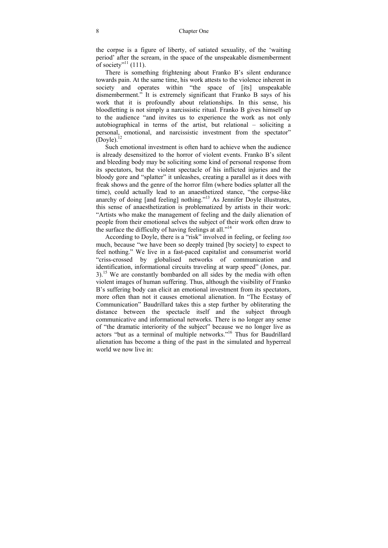the corpse is a figure of liberty, of satiated sexuality, of the 'waiting period' after the scream, in the space of the unspeakable dismemberment of society"<sup>11</sup> (111).

There is something frightening about Franko B's silent endurance towards pain. At the same time, his work attests to the violence inherent in society and operates within "the space of [its] unspeakable dismemberment." It is extremely significant that Franko B says of his work that it is profoundly about relationships. In this sense, his bloodletting is not simply a narcissistic ritual. Franko B gives himself up to the audience "and invites us to experience the work as not only autobiographical in terms of the artist, but relational – soliciting a personal, emotional, and narcissistic investment from the spectator"  $(Dovle)<sup>12</sup>$ 

Such emotional investment is often hard to achieve when the audience is already desensitized to the horror of violent events. Franko B's silent and bleeding body may be soliciting some kind of personal response from its spectators, but the violent spectacle of his inflicted injuries and the bloody gore and "splatter" it unleashes, creating a parallel as it does with freak shows and the genre of the horror film (where bodies splatter all the time), could actually lead to an anaesthetized stance, "the corpse-like anarchy of doing [and feeling] nothing."<sup>13</sup> As Jennifer Doyle illustrates, this sense of anaesthetization is problematized by artists in their work: "Artists who make the management of feeling and the daily alienation of people from their emotional selves the subject of their work often draw to the surface the difficulty of having feelings at all."<sup>14</sup>

According to Doyle, there is a "risk" involved in feeling, or feeling *too* much, because "we have been so deeply trained [by society] to expect to feel nothing." We live in a fast-paced capitalist and consumerist world "criss-crossed by globalised networks of communication and identification, informational circuits traveling at warp speed" (Jones, par. 3).<sup>15</sup> We are constantly bombarded on all sides by the media with often violent images of human suffering. Thus, although the visibility of Franko B's suffering body can elicit an emotional investment from its spectators, more often than not it causes emotional alienation. In "The Ecstasy of Communication" Baudrillard takes this a step further by obliterating the distance between the spectacle itself and the subject through communicative and informational networks. There is no longer any sense of "the dramatic interiority of the subject" because we no longer live as actors "but as a terminal of multiple networks."16 Thus for Baudrillard alienation has become a thing of the past in the simulated and hyperreal world we now live in: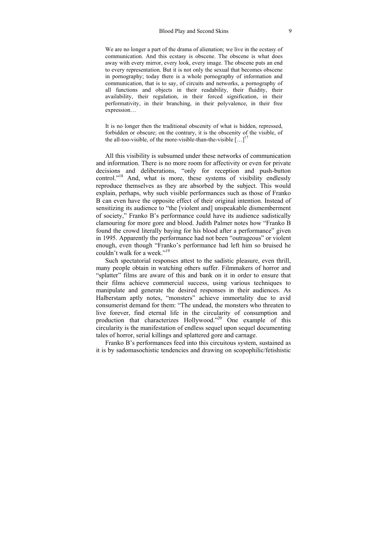We are no longer a part of the drama of alienation; we live in the ecstasy of communication. And this ecstasy is obscene. The obscene is what does away with every mirror, every look, every image. The obscene puts an end to every representation. But it is not only the sexual that becomes obscene in pornography; today there is a whole pornography of information and communication, that is to say, of circuits and networks, a pornography of all functions and objects in their readability, their fluidity, their availability, their regulation, in their forced signification, in their performativity, in their branching, in their polyvalence, in their free expression…

It is no longer then the traditional obscenity of what is hidden, repressed, forbidden or obscure; on the contrary, it is the obscenity of the visible, of the all-too-visible, of the more-visible-than-the-visible  $[\dots]^{17}$ 

All this visibility is subsumed under these networks of communication and information. There is no more room for affectivity or even for private decisions and deliberations, "only for reception and push-button control."<sup>18</sup> And, what is more, these systems of visibility endlessly reproduce themselves as they are absorbed by the subject. This would explain, perhaps, why such visible performances such as those of Franko B can even have the opposite effect of their original intention. Instead of sensitizing its audience to "the [violent and] unspeakable dismemberment of society," Franko B's performance could have its audience sadistically clamouring for more gore and blood. Judith Palmer notes how "Franko B found the crowd literally baying for his blood after a performance" given in 1995. Apparently the performance had not been "outrageous" or violent enough, even though "Franko's performance had left him so bruised he couldn't walk for a week."<sup>19</sup>

Such spectatorial responses attest to the sadistic pleasure, even thrill, many people obtain in watching others suffer. Filmmakers of horror and "splatter" films are aware of this and bank on it in order to ensure that their films achieve commercial success, using various techniques to manipulate and generate the desired responses in their audiences. As Halberstam aptly notes, "monsters" achieve immortality due to avid consumerist demand for them: "The undead, the monsters who threaten to live forever, find eternal life in the circularity of consumption and production that characterizes Hollywood."20 One example of this circularity is the manifestation of endless sequel upon sequel documenting tales of horror, serial killings and splattered gore and carnage.

Franko B's performances feed into this circuitous system, sustained as it is by sadomasochistic tendencies and drawing on scopophilic/fetishistic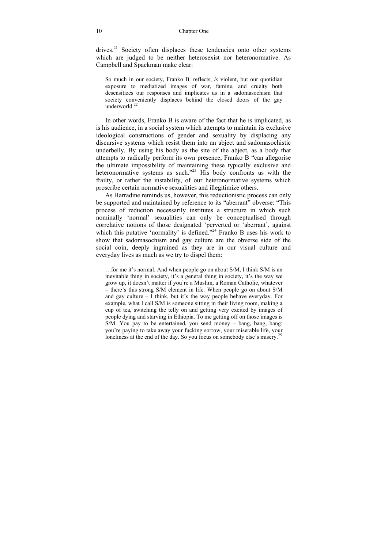#### 10 Chapter One

drives.<sup>21</sup> Society often displaces these tendencies onto other systems which are judged to be neither heterosexist nor heteronormative. As Campbell and Spackman make clear:

So much in our society, Franko B. reflects, *is* violent, but our quotidian exposure to mediatized images of war, famine, and cruelty both desensitizes our responses and implicates us in a sadomasochism that society conveniently displaces behind the closed doors of the gay underworld $^{22}$ 

In other words, Franko B is aware of the fact that he is implicated, as is his audience, in a social system which attempts to maintain its exclusive ideological constructions of gender and sexuality by displacing any discursive systems which resist them into an abject and sadomasochistic underbelly. By using his body as the site of the abject, as a body that attempts to radically perform its own presence, Franko B "can allegorise the ultimate impossibility of maintaining these typically exclusive and heteronormative systems as such.<sup>323</sup> His body confronts us with the frailty, or rather the instability, of our heteronormative systems which proscribe certain normative sexualities and illegitimize others.

As Harradine reminds us, however, this reductionistic process can only be supported and maintained by reference to its "aberrant" obverse: "This process of reduction necessarily institutes a structure in which such nominally 'normal' sexualities can only be conceptualised through correlative notions of those designated 'perverted or 'aberrant', against which this putative 'normality' is defined.<sup>224</sup> Franko B uses his work to show that sadomasochism and gay culture are the obverse side of the social coin, deeply ingrained as they are in our visual culture and everyday lives as much as we try to dispel them:

…for me it's normal. And when people go on about S/M, I think S/M is an inevitable thing in society, it's a general thing in society, it's the way we grow up, it doesn't matter if you're a Muslim, a Roman Catholic, whatever – there's this strong S/M element in life. When people go on about S/M and gay culture – I think, but it's the way people behave everyday. For example, what I call S/M is someone sitting in their living room, making a cup of tea, switching the telly on and getting very excited by images of people dying and starving in Ethiopia. To me getting off on those images is S/M. You pay to be entertained, you send money – bang, bang, bang: you're paying to take away your fucking sorrow, your miserable life, your loneliness at the end of the day. So you focus on somebody else's misery.<sup>25</sup>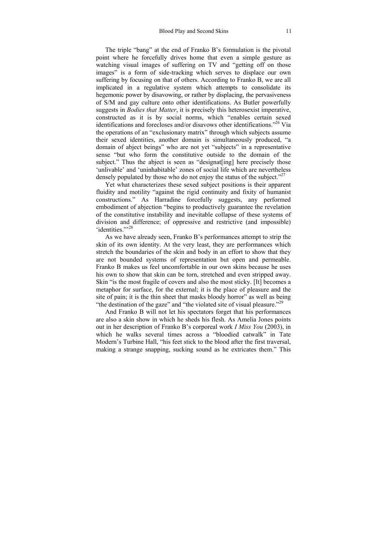The triple "bang" at the end of Franko B's formulation is the pivotal point where he forcefully drives home that even a simple gesture as watching visual images of suffering on TV and "getting off on those images" is a form of side-tracking which serves to displace our own suffering by focusing on that of others. According to Franko B, we are all implicated in a regulative system which attempts to consolidate its hegemonic power by disavowing, or rather by displacing, the pervasiveness of S/M and gay culture onto other identifications. As Butler powerfully suggests in *Bodies that Matter*, it is precisely this heterosexist imperative, constructed as it is by social norms, which "enables certain sexed identifications and forecloses and/or disavows other identifications."26 Via the operations of an "exclusionary matrix" through which subjects assume their sexed identities, another domain is simultaneously produced, "a domain of abject beings" who are not yet "subjects" in a representative sense "but who form the constitutive outside to the domain of the subject." Thus the abject is seen as "designat[ing] here precisely those 'unlivable' and 'uninhabitable' zones of social life which are nevertheless densely populated by those who do not enjoy the status of the subject." $27$ 

Yet what characterizes these sexed subject positions is their apparent fluidity and motility "against the rigid continuity and fixity of humanist constructions." As Harradine forcefully suggests, any performed embodiment of abjection "begins to productively guarantee the revelation of the constitutive instability and inevitable collapse of these systems of division and difference; of oppressive and restrictive (and impossible) 'identities<sup>">28</sup>

As we have already seen, Franko B's performances attempt to strip the skin of its own identity. At the very least, they are performances which stretch the boundaries of the skin and body in an effort to show that they are not bounded systems of representation but open and permeable. Franko B makes us feel uncomfortable in our own skins because he uses his own to show that skin can be torn, stretched and even stripped away. Skin "is the most fragile of covers and also the most sticky. [It] becomes a metaphor for surface, for the external; it is the place of pleasure and the site of pain; it is the thin sheet that masks bloody horror" as well as being "the destination of the gaze" and "the violated site of visual pleasure."<sup>29</sup>

And Franko B will not let his spectators forget that his performances are also a skin show in which he sheds his flesh. As Amelia Jones points out in her description of Franko B's corporeal work *I Miss You* (2003), in which he walks several times across a "bloodied catwalk" in Tate Modern's Turbine Hall, "his feet stick to the blood after the first traversal, making a strange snapping, sucking sound as he extricates them." This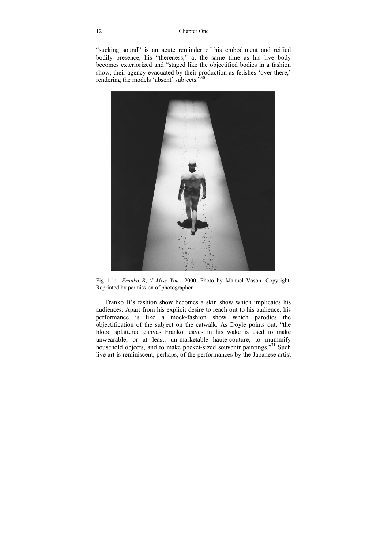"sucking sound" is an acute reminder of his embodiment and reified bodily presence, his "thereness," at the same time as his live body becomes exteriorized and "staged like the objectified bodies in a fashion show, their agency evacuated by their production as fetishes 'over there,' rendering the models 'absent' subjects.<sup>530</sup>



Fig 1-1: *Franko B*, *'I Miss You'*, 2000. Photo by Manuel Vason. Copyright. Reprinted by permission of photographer.

Franko B's fashion show becomes a skin show which implicates his audiences. Apart from his explicit desire to reach out to his audience, his performance is like a mock-fashion show which parodies the objectification of the subject on the catwalk. As Doyle points out, "the blood splattered canvas Franko leaves in his wake is used to make unwearable, or at least, un-marketable haute-couture, to mummify household objects, and to make pocket-sized souvenir paintings."<sup>31</sup> Such live art is reminiscent, perhaps, of the performances by the Japanese artist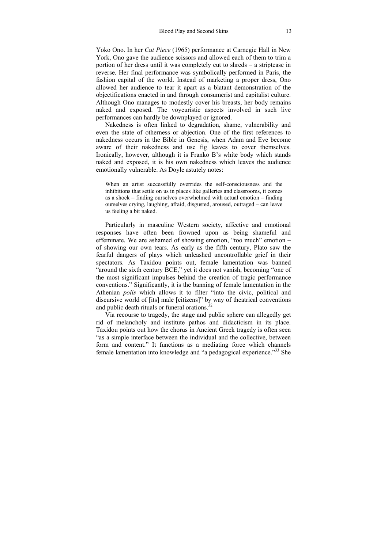Yoko Ono. In her *Cut Piece* (1965) performance at Carnegie Hall in New York, Ono gave the audience scissors and allowed each of them to trim a portion of her dress until it was completely cut to shreds – a striptease in reverse. Her final performance was symbolically performed in Paris, the fashion capital of the world. Instead of marketing a proper dress, Ono allowed her audience to tear it apart as a blatant demonstration of the objectifications enacted in and through consumerist and capitalist culture. Although Ono manages to modestly cover his breasts, her body remains naked and exposed. The voyeuristic aspects involved in such live performances can hardly be downplayed or ignored.

Nakedness is often linked to degradation, shame, vulnerability and even the state of otherness or abjection. One of the first references to nakedness occurs in the Bible in Genesis, when Adam and Eve become aware of their nakedness and use fig leaves to cover themselves. Ironically, however, although it is Franko B's white body which stands naked and exposed, it is his own nakedness which leaves the audience emotionally vulnerable. As Doyle astutely notes:

When an artist successfully overrides the self-consciousness and the inhibitions that settle on us in places like galleries and classrooms, it comes as a shock – finding ourselves overwhelmed with actual emotion – finding ourselves crying, laughing, afraid, disgusted, aroused, outraged – can leave us feeling a bit naked.

Particularly in masculine Western society, affective and emotional responses have often been frowned upon as being shameful and effeminate. We are ashamed of showing emotion, "too much" emotion – of showing our own tears. As early as the fifth century, Plato saw the fearful dangers of plays which unleashed uncontrollable grief in their spectators. As Taxidou points out, female lamentation was banned "around the sixth century BCE," yet it does not vanish, becoming "one of the most significant impulses behind the creation of tragic performance conventions." Significantly, it is the banning of female lamentation in the Athenian *polis* which allows it to filter "into the civic, political and discursive world of [its] male [citizens]" by way of theatrical conventions and public death rituals or funeral orations.<sup>32</sup>

Via recourse to tragedy, the stage and public sphere can allegedly get rid of melancholy and institute pathos and didacticism in its place. Taxidou points out how the chorus in Ancient Greek tragedy is often seen "as a simple interface between the individual and the collective, between form and content." It functions as a mediating force which channels female lamentation into knowledge and "a pedagogical experience."33 She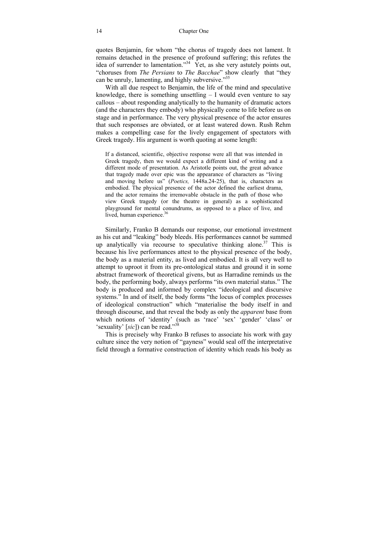quotes Benjamin, for whom "the chorus of tragedy does not lament. It remains detached in the presence of profound suffering; this refutes the idea of surrender to lamentation."34 Yet, as she very astutely points out, "choruses from *The Persians* to *The Bacchae*" show clearly that "they can be unruly, lamenting, and highly subversive."<sup>35</sup>

With all due respect to Benjamin, the life of the mind and speculative knowledge, there is something unsettling  $- I$  would even venture to say callous – about responding analytically to the humanity of dramatic actors (and the characters they embody) who physically come to life before us on stage and in performance. The very physical presence of the actor ensures that such responses are obviated, or at least watered down. Rush Rehm makes a compelling case for the lively engagement of spectators with Greek tragedy. His argument is worth quoting at some length:

If a distanced, scientific, objective response were all that was intended in Greek tragedy, then we would expect a different kind of writing and a different mode of presentation. As Aristotle points out, the great advance that tragedy made over epic was the appearance of characters as "living and moving before us" (*Poetics,* 1448a.24-25), that is, characters as embodied. The physical presence of the actor defined the earliest drama, and the actor remains the irremovable obstacle in the path of those who view Greek tragedy (or the theatre in general) as a sophisticated playground for mental conundrums, as opposed to a place of live, and lived, human experience. $36$ 

Similarly, Franko B demands our response, our emotional investment as his cut and "leaking" body bleeds. His performances cannot be summed up analytically via recourse to speculative thinking alone.<sup>37</sup> This is because his live performances attest to the physical presence of the body, the body as a material entity, as lived and embodied. It is all very well to attempt to uproot it from its pre-ontological status and ground it in some abstract framework of theoretical givens, but as Harradine reminds us the body, the performing body, always performs "its own material status." The body is produced and informed by complex "ideological and discursive systems." In and of itself, the body forms "the locus of complex processes of ideological construction" which "materialise the body itself in and through discourse, and that reveal the body as only the *apparent* base from which notions of 'identity' (such as 'race' 'sex' 'gender' 'class' or 'sexuality' [*sic*]) can be read."38

This is precisely why Franko B refuses to associate his work with gay culture since the very notion of "gayness" would seal off the interpretative field through a formative construction of identity which reads his body as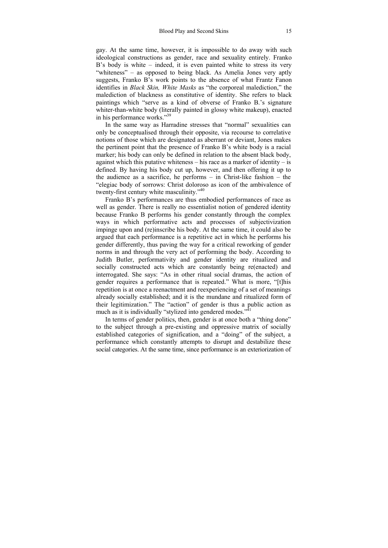gay. At the same time, however, it is impossible to do away with such ideological constructions as gender, race and sexuality entirely. Franko B's body is white – indeed, it is even painted white to stress its very "whiteness" – as opposed to being black. As Amelia Jones very aptly suggests, Franko B's work points to the absence of what Frantz Fanon identifies in *Black Skin, White Masks* as "the corporeal malediction," the malediction of blackness as constitutive of identity. She refers to black paintings which "serve as a kind of obverse of Franko B.'s signature whiter-than-white body (literally painted in glossy white makeup), enacted in his performance works."<sup>39</sup>

In the same way as Harradine stresses that "normal" sexualities can only be conceptualised through their opposite, via recourse to correlative notions of those which are designated as aberrant or deviant, Jones makes the pertinent point that the presence of Franko B's white body is a racial marker; his body can only be defined in relation to the absent black body, against which this putative whiteness – his race as a marker of identity – is defined. By having his body cut up, however, and then offering it up to the audience as a sacrifice, he performs – in Christ-like fashion – the "elegiac body of sorrows: Christ doloroso as icon of the ambivalence of twenty-first century white masculinity."40

Franko B's performances are thus embodied performances of race as well as gender. There is really no essentialist notion of gendered identity because Franko B performs his gender constantly through the complex ways in which performative acts and processes of subjectivization impinge upon and (re)inscribe his body. At the same time, it could also be argued that each performance is a repetitive act in which he performs his gender differently, thus paving the way for a critical reworking of gender norms in and through the very act of performing the body. According to Judith Butler, performativity and gender identity are ritualized and socially constructed acts which are constantly being re(enacted) and interrogated. She says: "As in other ritual social dramas, the action of gender requires a performance that is repeated." What is more, "[t]his repetition is at once a reenactment and reexperiencing of a set of meanings already socially established; and it is the mundane and ritualized form of their legitimization." The "action" of gender is thus a public action as much as it is individually "stylized into gendered modes." $\frac{1}{4}$ 

In terms of gender politics, then, gender is at once both a "thing done" to the subject through a pre-existing and oppressive matrix of socially established categories of signification, and a "doing" of the subject, a performance which constantly attempts to disrupt and destabilize these social categories. At the same time, since performance is an exteriorization of